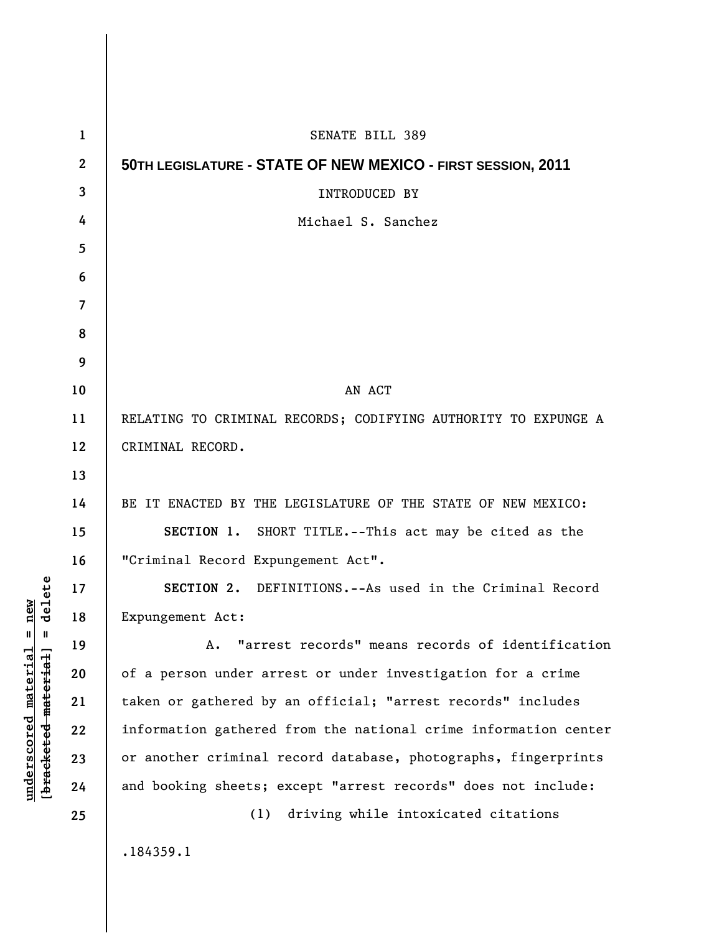| 1              | <b>SENATE BILL 389</b>                                          |
|----------------|-----------------------------------------------------------------|
| $\mathbf{2}$   | 50TH LEGISLATURE - STATE OF NEW MEXICO - FIRST SESSION, 2011    |
| 3              | <b>INTRODUCED BY</b>                                            |
| 4              | Michael S. Sanchez                                              |
| 5              |                                                                 |
| 6              |                                                                 |
| $\overline{7}$ |                                                                 |
| 8              |                                                                 |
| 9              |                                                                 |
| 10             | AN ACT                                                          |
| 11             | RELATING TO CRIMINAL RECORDS; CODIFYING AUTHORITY TO EXPUNGE A  |
| 12             | CRIMINAL RECORD.                                                |
| 13             |                                                                 |
| 14             | BE IT ENACTED BY THE LEGISLATURE OF THE STATE OF NEW MEXICO:    |
| 15             | SECTION 1. SHORT TITLE.--This act may be cited as the           |
| 16             | "Criminal Record Expungement Act".                              |
| 17             | SECTION 2. DEFINITIONS.--As used in the Criminal Record         |
| 18             | Expungement Act:                                                |
| 19             | A. "arrest records" means records of identification             |
| 20             | of a person under arrest or under investigation for a crime     |
| 21             | taken or gathered by an official; "arrest records" includes     |
| 22             | information gathered from the national crime information center |
| 23             | or another criminal record database, photographs, fingerprints  |
| 24             | and booking sheets; except "arrest records" does not include:   |
| 25             | driving while intoxicated citations<br>(1)                      |
|                | .184359.1                                                       |
|                |                                                                 |

**underscored material = new [bracketed material] = delete**

 $[**bracket eted metert et**] = **del et e**$  $underscored material = new$ 

 $\overline{\phantom{a}}$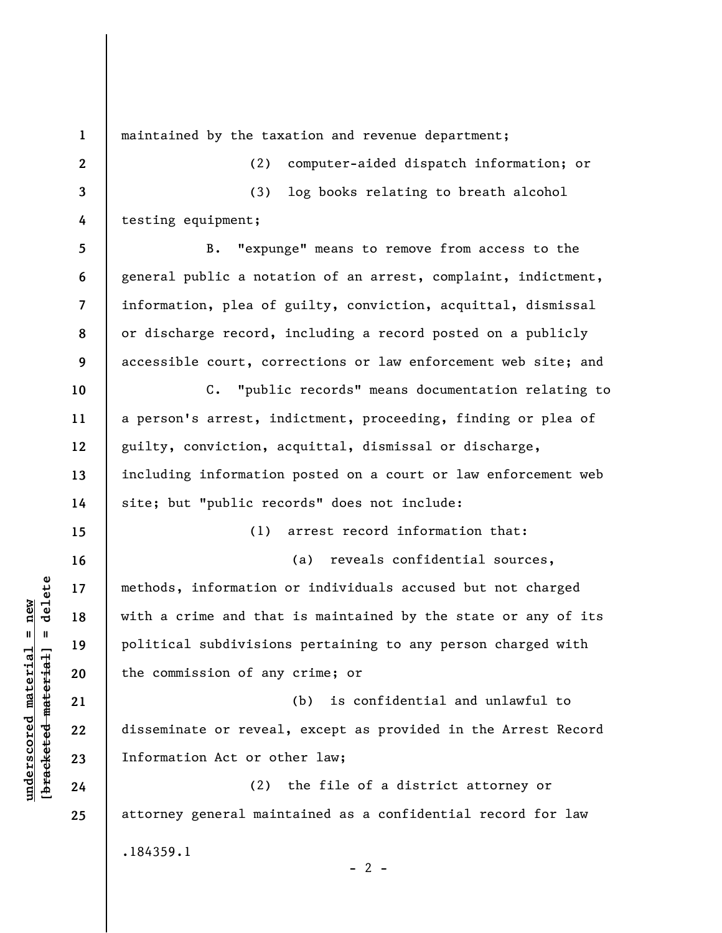**1 2 3 4 5 6 7 8 9 10 11 12 13 14 15 16 17 18 19 20 21 22 23 24 25**  maintained by the taxation and revenue department; (2) computer-aided dispatch information; or (3) log books relating to breath alcohol testing equipment; B. "expunge" means to remove from access to the general public a notation of an arrest, complaint, indictment, information, plea of guilty, conviction, acquittal, dismissal or discharge record, including a record posted on a publicly accessible court, corrections or law enforcement web site; and C. "public records" means documentation relating to a person's arrest, indictment, proceeding, finding or plea of guilty, conviction, acquittal, dismissal or discharge, including information posted on a court or law enforcement web site; but "public records" does not include: (1) arrest record information that: (a) reveals confidential sources, methods, information or individuals accused but not charged with a crime and that is maintained by the state or any of its political subdivisions pertaining to any person charged with the commission of any crime; or (b) is confidential and unlawful to disseminate or reveal, except as provided in the Arrest Record Information Act or other law; (2) the file of a district attorney or attorney general maintained as a confidential record for law .184359.1  $- 2 -$ 

**underscored material = new [bracketed material] = delete**

 $\frac{1}{2}$  of  $\frac{1}{2}$  and  $\frac{1}{2}$  and  $\frac{1}{2}$  and  $\frac{1}{2}$  and  $\frac{1}{2}$  and  $\frac{1}{2}$  and  $\frac{1}{2}$  and  $\frac{1}{2}$  and  $\frac{1}{2}$  and  $\frac{1}{2}$  and  $\frac{1}{2}$  and  $\frac{1}{2}$  and  $\frac{1}{2}$  and  $\frac{1}{2}$  and  $\frac{1}{2}$  an  $underscored material = new$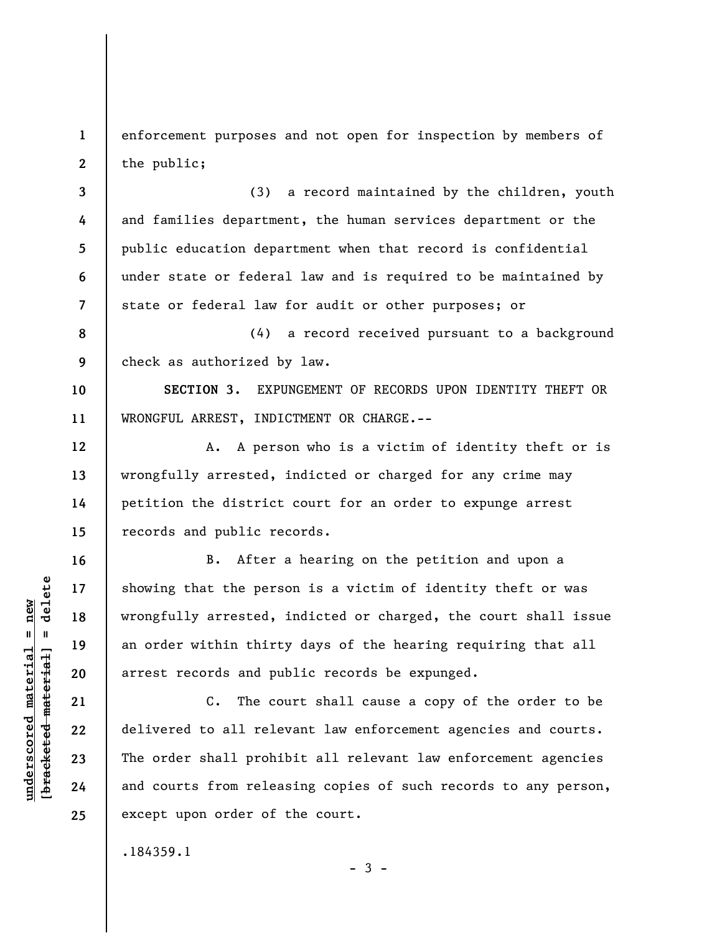enforcement purposes and not open for inspection by members of the public;

(3) a record maintained by the children, youth and families department, the human services department or the public education department when that record is confidential under state or federal law and is required to be maintained by state or federal law for audit or other purposes; or

**8 9**  (4) a record received pursuant to a background check as authorized by law.

**SECTION 3.** EXPUNGEMENT OF RECORDS UPON IDENTITY THEFT OR WRONGFUL ARREST, INDICTMENT OR CHARGE.--

A. A person who is a victim of identity theft or is wrongfully arrested, indicted or charged for any crime may petition the district court for an order to expunge arrest records and public records.

B. After a hearing on the petition and upon a showing that the person is a victim of identity theft or was wrongfully arrested, indicted or charged, the court shall issue an order within thirty days of the hearing requiring that all arrest records and public records be expunged.

C. The court shall cause a copy of the order to be delivered to all relevant law enforcement agencies and courts. The order shall prohibit all relevant law enforcement agencies and courts from releasing copies of such records to any person, except upon order of the court.

 $-3 -$ 

.184359.1

 $\frac{1}{2}$  intereted material = delete **[bracketed material] = delete**  $underscored material = new$ **underscored material = new**

**1** 

**2** 

**3** 

**4** 

**5** 

**6** 

**7** 

**10** 

**11** 

**12** 

**13** 

**14** 

**15** 

**16** 

**17** 

**18** 

**19** 

**20** 

**21** 

**22** 

**23** 

**24** 

**25**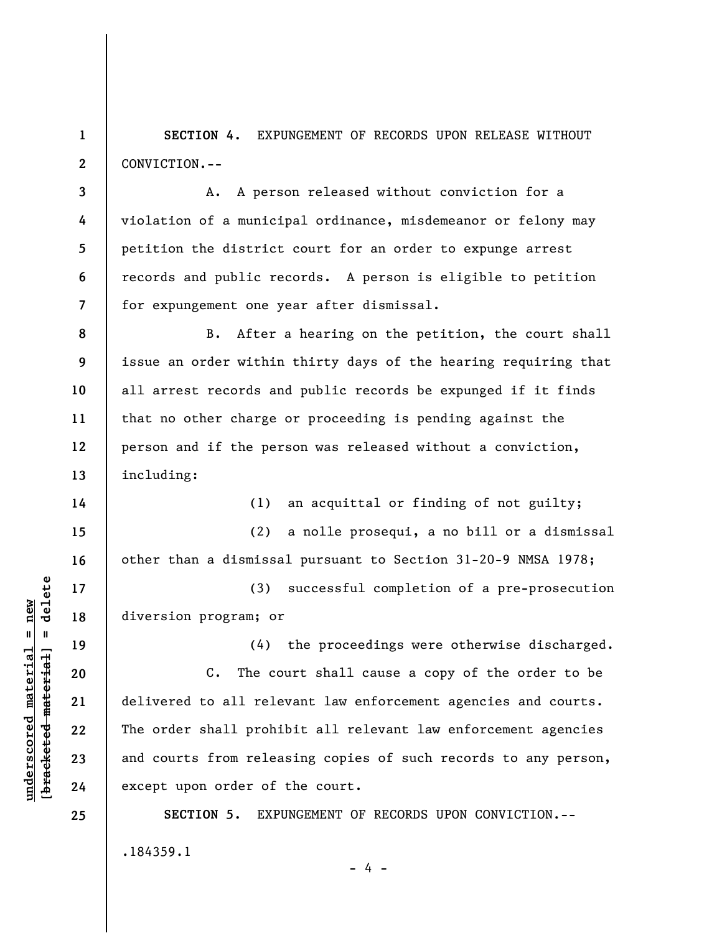**1 2 SECTION 4.** EXPUNGEMENT OF RECORDS UPON RELEASE WITHOUT CONVICTION.--

A. A person released without conviction for a violation of a municipal ordinance, misdemeanor or felony may petition the district court for an order to expunge arrest records and public records. A person is eligible to petition for expungement one year after dismissal.

B. After a hearing on the petition, the court shall issue an order within thirty days of the hearing requiring that all arrest records and public records be expunged if it finds that no other charge or proceeding is pending against the person and if the person was released without a conviction, including:

> (1) an acquittal or finding of not guilty; (2) a nolle prosequi, a no bill or a dismissal

other than a dismissal pursuant to Section 31-20-9 NMSA 1978;

(3) successful completion of a pre-prosecution diversion program; or

(4) the proceedings were otherwise discharged.

C. The court shall cause a copy of the order to be delivered to all relevant law enforcement agencies and courts. The order shall prohibit all relevant law enforcement agencies and courts from releasing copies of such records to any person, except upon order of the court.

**SECTION 5.** EXPUNGEMENT OF RECORDS UPON CONVICTION.-- .184359.1

- 4 -

 $\frac{1}{2}$  intereted material = delete **[bracketed material] = delete**  $underscored material = new$ **underscored material = new**

**3** 

**4** 

**5** 

**6** 

**7** 

**8** 

**9** 

**10** 

**11** 

**12** 

**13** 

**14** 

**15** 

**16** 

**17** 

**18** 

**19** 

**20** 

**21** 

**22** 

**23** 

**24** 

**25**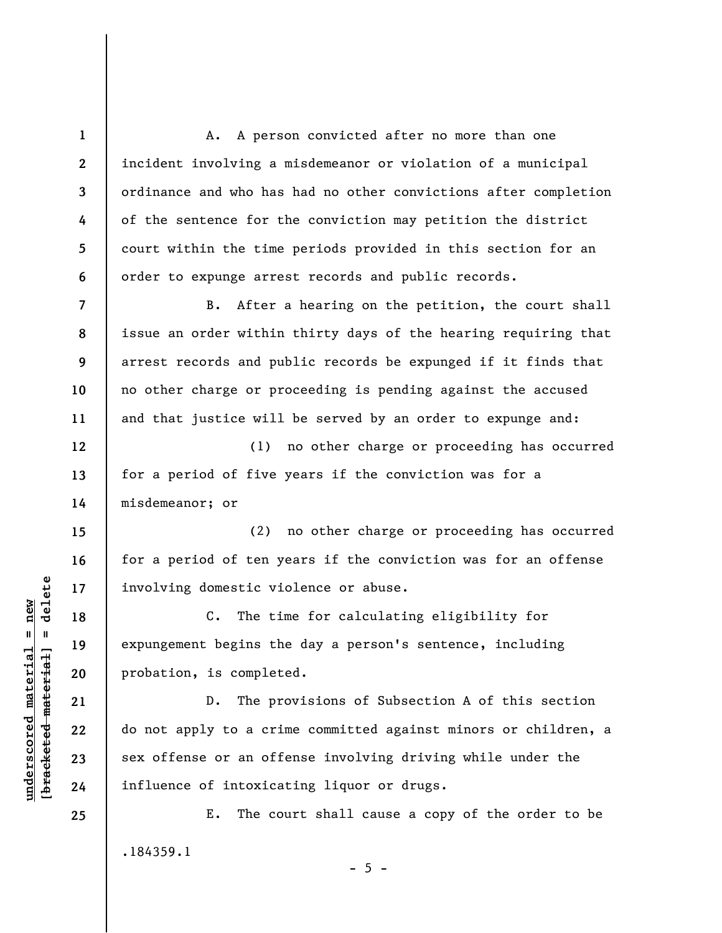**1 2 3 4 5 6 7 8 9 10 11 12 13 14 15 16 17 18 19 20 21 22 23**  A. A person convicted after no more than one incident involving a misdemeanor or violation of a municipal ordinance and who has had no other convictions after completion of the sentence for the conviction may petition the district court within the time periods provided in this section for an order to expunge arrest records and public records. B. After a hearing on the petition, the court shall issue an order within thirty days of the hearing requiring that arrest records and public records be expunged if it finds that no other charge or proceeding is pending against the accused and that justice will be served by an order to expunge and: (1) no other charge or proceeding has occurred for a period of five years if the conviction was for a misdemeanor; or (2) no other charge or proceeding has occurred for a period of ten years if the conviction was for an offense involving domestic violence or abuse. C. The time for calculating eligibility for expungement begins the day a person's sentence, including probation, is completed. D. The provisions of Subsection A of this section do not apply to a crime committed against minors or children, a sex offense or an offense involving driving while under the influence of intoxicating liquor or drugs.

E. The court shall cause a copy of the order to be .184359.1

 $\frac{1}{2}$  intereted material = delete **[bracketed material] = delete**  $underscored material = new$ **underscored material = new**

**24** 

**25** 

 $- 5 -$